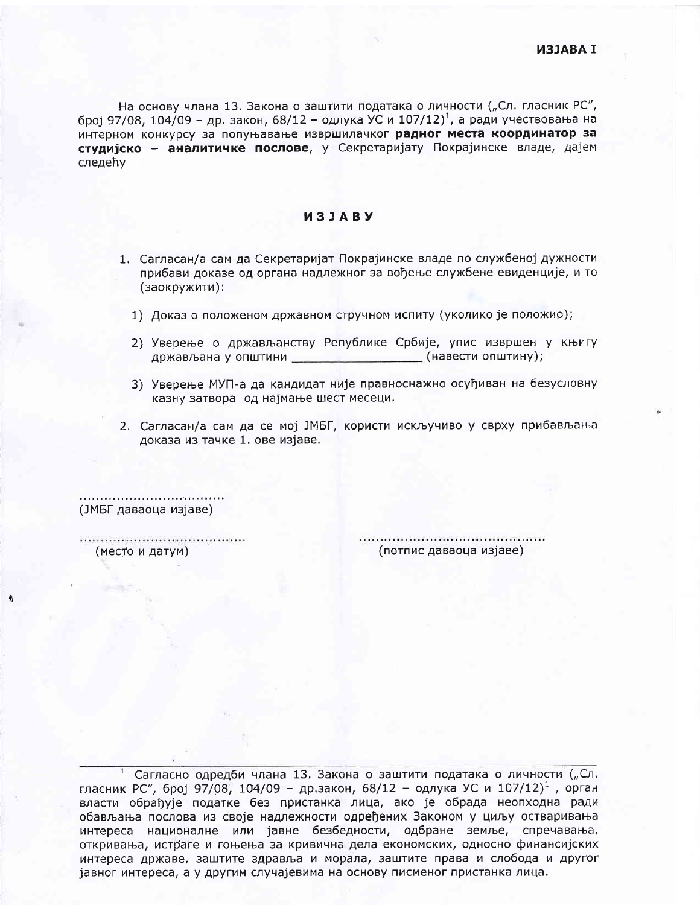На основу члана 13. Закона о заштити података о личности ("Сл. гласник РС", број 97/08, 104/09 - др. закон, 68/12 - одлука УС и 107/12)<sup>1</sup>, а ради учествовања на интерном конкурсу за попуњавање извршилачког радног места координатор за студијско - аналитичке послове, у Секретаријату Покрајинске владе, дајем следећу

## *M***3JABY**

- 1. Сагласан/а сам да Секретаријат Покрајинске владе по службеној дужности прибави доказе од органа надлежног за вођење службене евиденције, и то (заокружити):
	- 1) Доказ о положеном државном стручном испиту (уколико је положио);
	- 2) Уверење о држављанству Републике Србије, упис извршен у књигу држављана у општини \_\_\_\_\_\_\_\_\_\_\_\_\_\_\_\_\_\_\_\_\_\_(навести општину);
	- 3) Уверење МУП-а да кандидат није правноснажно осуђиван на безусловну казну затвора од најмање шест месеци.
- 2. Сагласан/а сам да се мој ЈМБГ, користи искључиво у сврху прибављања доказа из тачке 1. ове изјаве.

(ЈМБГ даваоца изјаве)

(место и датум)

(потпис даваоца изјаве)

<sup>1</sup> Сагласно одредби члана 13. Закона о заштити података о личности ("Сл. гласник РС", број 97/08, 104/09 - др.закон, 68/12 - одлука УС и 107/12)<sup>1</sup>, орган власти обрађује податке без пристанка лица, ако је обрада неопходна ради обављања послова из своје надлежности одређених Законом у циљу остваривања интереса националне или јавне безбедности, одбране земље, спречавања, откривања, истраге и гоњења за кривична дела економских, односно финансијских интереса државе, заштите здравља и морала, заштите права и слобода и другог јавног интереса, а у другим случајевима на основу писменог пристанка лица.